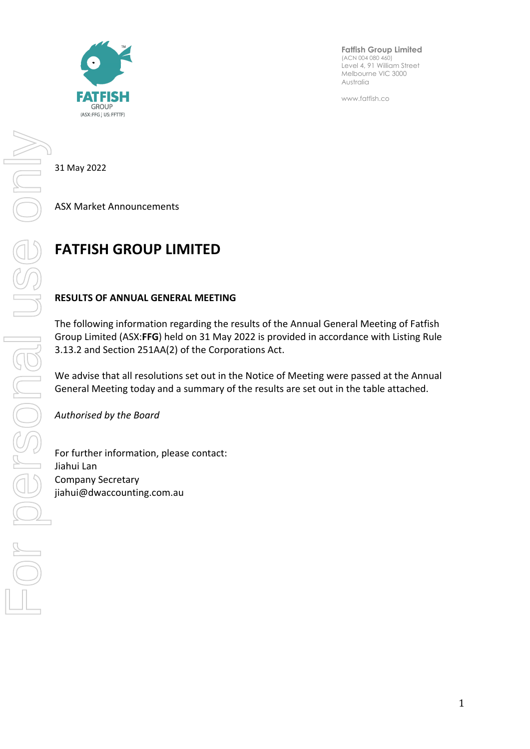

**Fatfish Group Limited** (ACN 004 080 460) Level 4, 91 William Street Melbourne VIC 3000 Australia

www.fatfish.co

31 May 2022

ASX Market Announcements

## **FATFISH GROUP LIMITED**

## **RESULTS OF ANNUAL GENERAL MEETING**

The following information regarding the results of the Annual General Meeting of Fatfish Group Limited (ASX:**FFG**) held on 31 May 2022 is provided in accordance with Listing Rule 3.13.2 and Section 251AA(2) of the Corporations Act.

We advise that all resolutions set out in the Notice of Meeting were passed at the Annual General Meeting today and a summary of the results are set out in the table attached.

*Authorised by the Board*

For further information, please contact: Jiahui Lan Company Secretary jiahui@dwaccounting.com.au